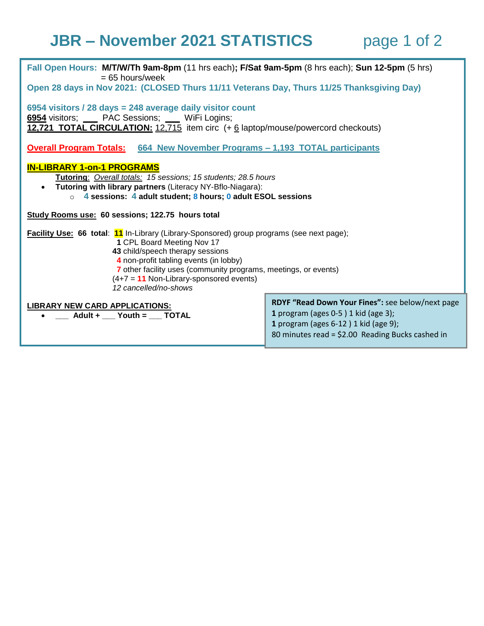## **JBR – November 2021 STATISTICS** page 1 of 2

| Fall Open Hours: M/T/W/Th 9am-8pm (11 hrs each); F/Sat 9am-5pm (8 hrs each); Sun 12-5pm (5 hrs)<br>$= 65$ hours/week<br>Open 28 days in Nov 2021: (CLOSED Thurs 11/11 Veterans Day, Thurs 11/25 Thanksgiving Day)                                                                                                                                     |                                                                                                                                       |
|-------------------------------------------------------------------------------------------------------------------------------------------------------------------------------------------------------------------------------------------------------------------------------------------------------------------------------------------------------|---------------------------------------------------------------------------------------------------------------------------------------|
| 6954 visitors / 28 days = 248 average daily visitor count                                                                                                                                                                                                                                                                                             |                                                                                                                                       |
| 6954 visitors; ____ PAC Sessions; ___ WiFi Logins;<br>12,721 TOTAL CIRCULATION: 12,715 item circ (+ 6 laptop/mouse/powercord checkouts)                                                                                                                                                                                                               |                                                                                                                                       |
| <u><b>Overall Program Totals:</b> 664 New November Programs – 1,193 TOTAL participants</u>                                                                                                                                                                                                                                                            |                                                                                                                                       |
| <b>IN-LIBRARY 1-on-1 PROGRAMS</b><br>Tutoring: Overall totals: 15 sessions; 15 students; 28.5 hours<br>• Tutoring with library partners (Literacy NY-Bflo-Niagara):<br>$\circ$ 4 sessions: 4 adult student; 8 hours; 0 adult ESOL sessions                                                                                                            |                                                                                                                                       |
| Study Rooms use: 60 sessions; 122.75 hours total                                                                                                                                                                                                                                                                                                      |                                                                                                                                       |
| <b>Facility Use: 66 total: 11</b> In-Library (Library-Sponsored) group programs (see next page);<br>1 CPL Board Meeting Nov 17<br>43 child/speech therapy sessions<br>4 non-profit tabling events (in lobby)<br>7 other facility uses (community programs, meetings, or events)<br>$(4+7 = 11$ Non-Library-sponsored events)<br>12 cancelled/no-shows |                                                                                                                                       |
| <b>LIBRARY NEW CARD APPLICATIONS:</b><br>Adult + Youth = TOTAL                                                                                                                                                                                                                                                                                        | RDYF "Read Down Your Fines": see below/next page<br>1 program (ages $0-5$ ) 1 kid (age 3);<br>1 program (ages $6-12$ ) 1 kid (age 9); |

80 minutes read = \$2.00 Reading Bucks cashed in